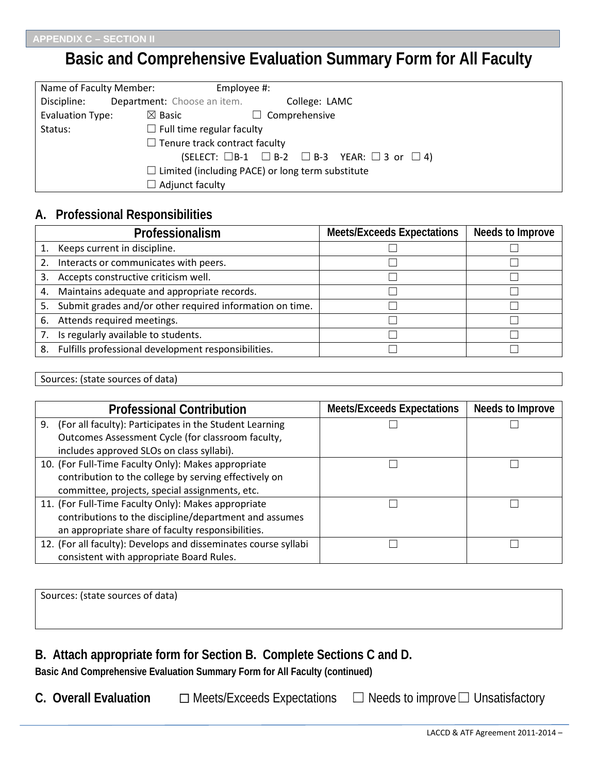# **Basic and Comprehensive Evaluation Summary Form for All Faculty**

| Name of Faculty Member: | Employee #:                          |                                                                        |
|-------------------------|--------------------------------------|------------------------------------------------------------------------|
| Discipline:             | <b>Department:</b> Choose an item.   | College: LAMC                                                          |
| Evaluation Type:        | $\boxtimes$ Basic                    | $\Box$ Comprehensive                                                   |
| Status:                 | $\Box$ Full time regular faculty     |                                                                        |
|                         | $\Box$ Tenure track contract faculty |                                                                        |
|                         |                                      | (SELECT: $\Box B-1$ $\Box B-2$ $\Box B-3$ YEAR: $\Box 3$ or $\Box 4$ ) |
|                         |                                      | $\Box$ Limited (including PACE) or long term substitute                |
|                         | $\Box$ Adjunct faculty               |                                                                        |

## **A. Professional Responsibilities**

|    | Professionalism                                          | <b>Meets/Exceeds Expectations</b> | Needs to Improve |
|----|----------------------------------------------------------|-----------------------------------|------------------|
|    | 1. Keeps current in discipline.                          |                                   |                  |
|    | 2. Interacts or communicates with peers.                 |                                   |                  |
| 3. | Accepts constructive criticism well.                     |                                   |                  |
|    | 4. Maintains adequate and appropriate records.           |                                   |                  |
| 5. | Submit grades and/or other required information on time. |                                   |                  |
|    | 6. Attends required meetings.                            |                                   |                  |
|    | Is regularly available to students.                      |                                   |                  |
| 8. | Fulfills professional development responsibilities.      |                                   |                  |

| . נכא<br>15tate<br>__ | sources of<br>------<br><b>nr</b><br>מ זנ<br>ouur.<br>udid <i>i</i> |  |
|-----------------------|---------------------------------------------------------------------|--|
|-----------------------|---------------------------------------------------------------------|--|

| <b>Professional Contribution</b>                                | <b>Meets/Exceeds Expectations</b> | Needs to Improve |
|-----------------------------------------------------------------|-----------------------------------|------------------|
| (For all faculty): Participates in the Student Learning<br>9.   |                                   |                  |
| Outcomes Assessment Cycle (for classroom faculty,               |                                   |                  |
| includes approved SLOs on class syllabi).                       |                                   |                  |
| 10. (For Full-Time Faculty Only): Makes appropriate             |                                   |                  |
| contribution to the college by serving effectively on           |                                   |                  |
| committee, projects, special assignments, etc.                  |                                   |                  |
| 11. (For Full-Time Faculty Only): Makes appropriate             |                                   |                  |
| contributions to the discipline/department and assumes          |                                   |                  |
| an appropriate share of faculty responsibilities.               |                                   |                  |
| 12. (For all faculty): Develops and disseminates course syllabi |                                   |                  |
| consistent with appropriate Board Rules.                        |                                   |                  |

| Sources: (state sources of data) |  |  |
|----------------------------------|--|--|
|                                  |  |  |
|                                  |  |  |

# **B. Attach appropriate form for Section B. Complete Sections C and D.**

**Basic And Comprehensive Evaluation Summary Form for All Faculty (continued)**

- C. **Overall Evaluation**  $□$  Meets/Exceeds Expectations  $□$  Needs to improve  $□$  Unsatisfactory
	- LACCD & ATF Agreement 2011-2014 –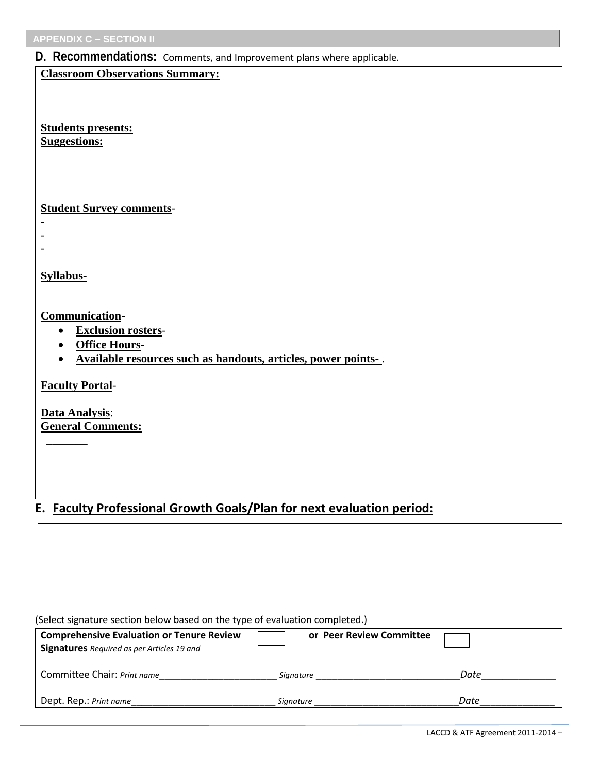**APPENDIX C – SECTION II**

#### **D. Recommendations:** Comments, and Improvement plans where applicable.

**Classroom Observations Summary:**

**Students presents: Suggestions:**

**Student Survey comments**-

**Syllabus-**

- - -

**Communication**-

- **Exclusion rosters**-
- **Office Hours**-
- **Available resources such as handouts, articles, power points** .

**Faculty Portal**-

\_\_\_\_\_\_\_

**Data Analysis**: **General Comments:**

### **E. Faculty Professional Growth Goals/Plan for next evaluation period:**

(Select signature section below based on the type of evaluation completed.)

| <b>Comprehensive Evaluation or Tenure Review</b><br><b>Signatures</b> Required as per Articles 19 and | or Peer Review Committee |      |
|-------------------------------------------------------------------------------------------------------|--------------------------|------|
| Committee Chair: Print name                                                                           | Signature                | Date |
| Dept. Rep.: Print name                                                                                | Signature                | Date |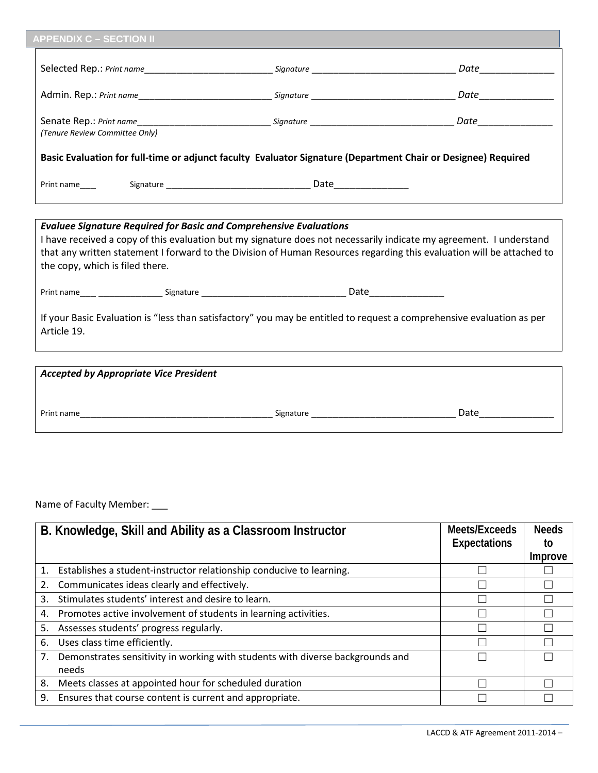| <b>APPENDIX C - SECTION II</b>  |                                                                                                                                                                                                                                                                                                                           |  |
|---------------------------------|---------------------------------------------------------------------------------------------------------------------------------------------------------------------------------------------------------------------------------------------------------------------------------------------------------------------------|--|
|                                 |                                                                                                                                                                                                                                                                                                                           |  |
|                                 |                                                                                                                                                                                                                                                                                                                           |  |
| (Tenure Review Committee Only)  |                                                                                                                                                                                                                                                                                                                           |  |
|                                 | Basic Evaluation for full-time or adjunct faculty Evaluator Signature (Department Chair or Designee) Required                                                                                                                                                                                                             |  |
|                                 |                                                                                                                                                                                                                                                                                                                           |  |
| the copy, which is filed there. | <b>Evaluee Signature Required for Basic and Comprehensive Evaluations</b><br>I have received a copy of this evaluation but my signature does not necessarily indicate my agreement. I understand<br>that any written statement I forward to the Division of Human Resources regarding this evaluation will be attached to |  |
|                                 |                                                                                                                                                                                                                                                                                                                           |  |
| Article 19.                     | If your Basic Evaluation is "less than satisfactory" you may be entitled to request a comprehensive evaluation as per                                                                                                                                                                                                     |  |

| <b>Accepted by Appropriate Vice President</b> |           |      |
|-----------------------------------------------|-----------|------|
| Print name                                    | Signature | Date |

Name of Faculty Member: \_\_\_

|    | B. Knowledge, Skill and Ability as a Classroom Instructor                      | Meets/Exceeds<br><b>Expectations</b> | <b>Needs</b><br>to |
|----|--------------------------------------------------------------------------------|--------------------------------------|--------------------|
|    |                                                                                |                                      | Improve            |
| 1. | Establishes a student-instructor relationship conducive to learning.           |                                      |                    |
| 2. | Communicates ideas clearly and effectively.                                    |                                      |                    |
| 3. | Stimulates students' interest and desire to learn.                             |                                      |                    |
| 4. | Promotes active involvement of students in learning activities.                |                                      |                    |
| 5. | Assesses students' progress regularly.                                         |                                      |                    |
| 6. | Uses class time efficiently.                                                   |                                      |                    |
| 7. | Demonstrates sensitivity in working with students with diverse backgrounds and |                                      |                    |
|    | needs                                                                          |                                      |                    |
| 8. | Meets classes at appointed hour for scheduled duration                         |                                      |                    |
| 9. | Ensures that course content is current and appropriate.                        |                                      |                    |